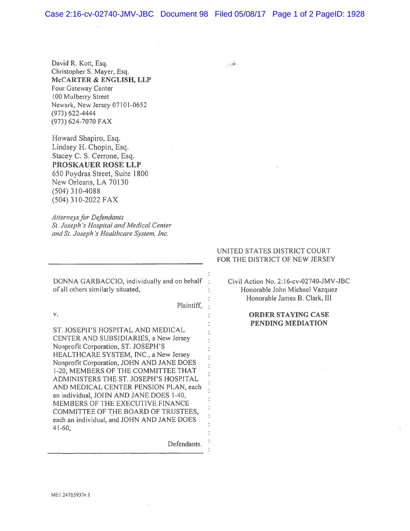$\sim 10^4$ 

David R. Kott, Esq. Christopher S. Mayer, Esq. McCARTER & ENGLISH, LLP Four Gateway Center 100 Mulberry Street Newark, New Jersey 07101-0652 (973) 622-4444 (973) 624-7070 FAX

Howard Shapiro, Esq. Lindsey H. Chopin, Esq. Stacey C. S. Cerrone, Esq. PROSKAUER ROSE LLP 650 Poydras Street, Suite 1800 New Orleans, LA 70130 (504) 310-4088 (504) 310-2022 FAX

Attorneys for Defendants Si. Joseph 's Hospilal and Medical Center and Si. Joseph 's Heatthcare System, Inc.

DONNA GARBACCIO, individually and on behalf : Civil Action No. 2:16-cv-02740-JMV-JBC of all others similarly situated,  $\cdot$  Honorable John Michael Vazquez

Plaintiff,

ST. JOSEPH'S HOSPITAL AND MEDICAL CENTER AND SUBSIDIARIES, <sup>a</sup> New Jersey Nonprofit Corporation, ST. JOSEPH'S HEALTHCARE SYSTEM, INC., <sup>a</sup> New Jersey Nonprofit Corporation, JOHN AND JANE DOES 1-20, MEMBERS OF THE COMMITTEE THAT ADMINISTERS THE ST. JOSEPH'S HOSPITAL AND MEDICAL CENTER PENSION PLAN, each an individual, JOHN AND JANE DOES 1-40, MEMBERS OF THE EXECUTIVE FINANCE COMMITTEE OF THE BOARD OF TRUSTEES, each an individual, and JOHN AND JANE DOES 41-60,

Defendants.

## UNITED STATES DISTRICT COURT FOR THE DISTRICT OF NEW JERSEY

Honorable James B, Clark, III

## v. CONDER STAYING CASE CONDER STAYING CASE PENDING MEDIATION